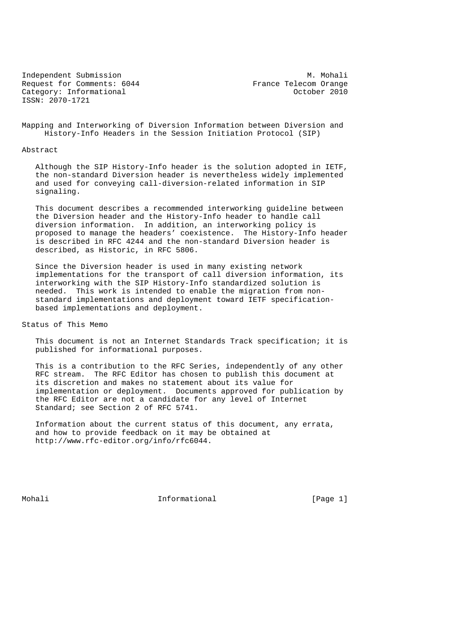Request for Comments: 6044 France Telecom Orange Category: Informational and Category: Category: Informational category: October 2010 ISSN: 2070-1721

Independent Submission Manual Submission M. Mohali

Mapping and Interworking of Diversion Information between Diversion and History-Info Headers in the Session Initiation Protocol (SIP)

#### Abstract

 Although the SIP History-Info header is the solution adopted in IETF, the non-standard Diversion header is nevertheless widely implemented and used for conveying call-diversion-related information in SIP signaling.

 This document describes a recommended interworking guideline between the Diversion header and the History-Info header to handle call diversion information. In addition, an interworking policy is proposed to manage the headers' coexistence. The History-Info header is described in RFC 4244 and the non-standard Diversion header is described, as Historic, in RFC 5806.

 Since the Diversion header is used in many existing network implementations for the transport of call diversion information, its interworking with the SIP History-Info standardized solution is needed. This work is intended to enable the migration from non standard implementations and deployment toward IETF specification based implementations and deployment.

Status of This Memo

 This document is not an Internet Standards Track specification; it is published for informational purposes.

 This is a contribution to the RFC Series, independently of any other RFC stream. The RFC Editor has chosen to publish this document at its discretion and makes no statement about its value for implementation or deployment. Documents approved for publication by the RFC Editor are not a candidate for any level of Internet Standard; see Section 2 of RFC 5741.

 Information about the current status of this document, any errata, and how to provide feedback on it may be obtained at http://www.rfc-editor.org/info/rfc6044.

Mohali **Informational Informational** [Page 1]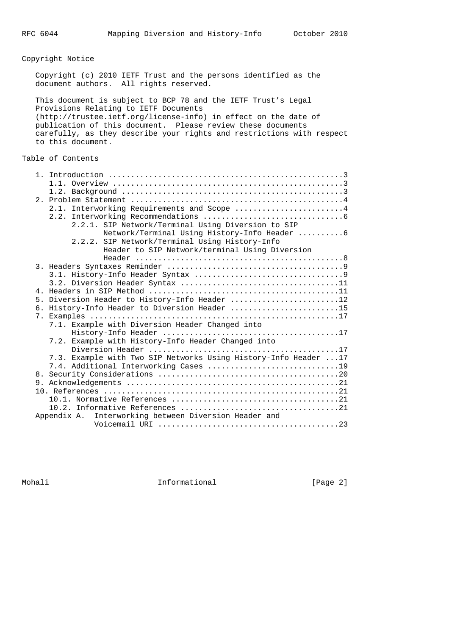Copyright Notice

 Copyright (c) 2010 IETF Trust and the persons identified as the document authors. All rights reserved.

 This document is subject to BCP 78 and the IETF Trust's Legal Provisions Relating to IETF Documents (http://trustee.ietf.org/license-info) in effect on the date of publication of this document. Please review these documents carefully, as they describe your rights and restrictions with respect to this document.

### Table of Contents

|  | 2.1. Interworking Requirements and Scope 4                       |
|--|------------------------------------------------------------------|
|  |                                                                  |
|  | 2.2.1. SIP Network/Terminal Using Diversion to SIP               |
|  | Network/Terminal Using History-Info Header 6                     |
|  | 2.2.2. SIP Network/Terminal Using History-Info                   |
|  | Header to SIP Network/terminal Using Diversion                   |
|  |                                                                  |
|  |                                                                  |
|  |                                                                  |
|  |                                                                  |
|  |                                                                  |
|  | 5. Diversion Header to History-Info Header 12                    |
|  | 6. History-Info Header to Diversion Header 15                    |
|  |                                                                  |
|  | 7.1. Example with Diversion Header Changed into                  |
|  |                                                                  |
|  | 7.2. Example with History-Info Header Changed into               |
|  |                                                                  |
|  | 7.3. Example with Two SIP Networks Using History-Info Header  17 |
|  | 7.4. Additional Interworking Cases 19                            |
|  |                                                                  |
|  |                                                                  |
|  |                                                                  |
|  |                                                                  |
|  |                                                                  |
|  | Interworking between Diversion Header and<br>Appendix A.         |
|  |                                                                  |

Mohali **Informational Informational** [Page 2]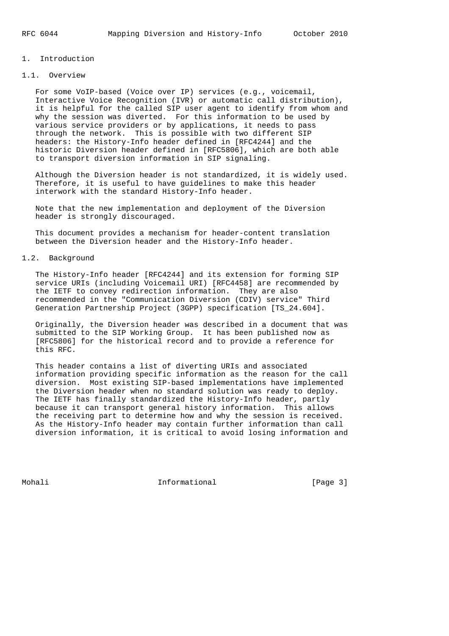### 1. Introduction

## 1.1. Overview

 For some VoIP-based (Voice over IP) services (e.g., voicemail, Interactive Voice Recognition (IVR) or automatic call distribution), it is helpful for the called SIP user agent to identify from whom and why the session was diverted. For this information to be used by various service providers or by applications, it needs to pass through the network. This is possible with two different SIP headers: the History-Info header defined in [RFC4244] and the historic Diversion header defined in [RFC5806], which are both able to transport diversion information in SIP signaling.

 Although the Diversion header is not standardized, it is widely used. Therefore, it is useful to have guidelines to make this header interwork with the standard History-Info header.

 Note that the new implementation and deployment of the Diversion header is strongly discouraged.

 This document provides a mechanism for header-content translation between the Diversion header and the History-Info header.

### 1.2. Background

 The History-Info header [RFC4244] and its extension for forming SIP service URIs (including Voicemail URI) [RFC4458] are recommended by the IETF to convey redirection information. They are also recommended in the "Communication Diversion (CDIV) service" Third Generation Partnership Project (3GPP) specification [TS\_24.604].

 Originally, the Diversion header was described in a document that was submitted to the SIP Working Group. It has been published now as [RFC5806] for the historical record and to provide a reference for this RFC.

 This header contains a list of diverting URIs and associated information providing specific information as the reason for the call diversion. Most existing SIP-based implementations have implemented the Diversion header when no standard solution was ready to deploy. The IETF has finally standardized the History-Info header, partly because it can transport general history information. This allows the receiving part to determine how and why the session is received. As the History-Info header may contain further information than call diversion information, it is critical to avoid losing information and

Mohali **Informational Informational Informational** [Page 3]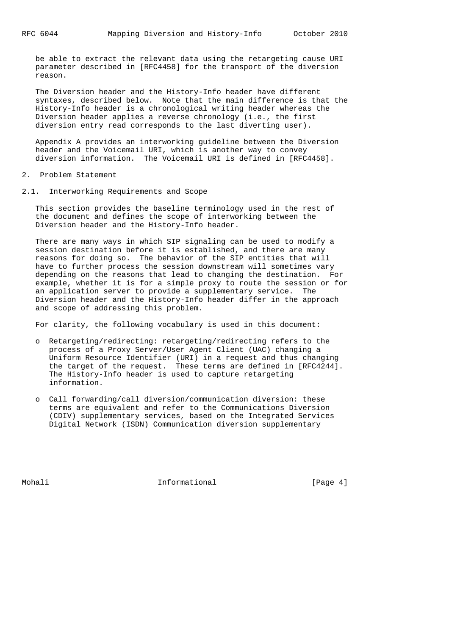be able to extract the relevant data using the retargeting cause URI parameter described in [RFC4458] for the transport of the diversion reason.

 The Diversion header and the History-Info header have different syntaxes, described below. Note that the main difference is that the History-Info header is a chronological writing header whereas the Diversion header applies a reverse chronology (i.e., the first diversion entry read corresponds to the last diverting user).

 Appendix A provides an interworking guideline between the Diversion header and the Voicemail URI, which is another way to convey diversion information. The Voicemail URI is defined in [RFC4458].

2. Problem Statement

2.1. Interworking Requirements and Scope

 This section provides the baseline terminology used in the rest of the document and defines the scope of interworking between the Diversion header and the History-Info header.

 There are many ways in which SIP signaling can be used to modify a session destination before it is established, and there are many reasons for doing so. The behavior of the SIP entities that will have to further process the session downstream will sometimes vary depending on the reasons that lead to changing the destination. For example, whether it is for a simple proxy to route the session or for an application server to provide a supplementary service. The Diversion header and the History-Info header differ in the approach and scope of addressing this problem.

For clarity, the following vocabulary is used in this document:

- o Retargeting/redirecting: retargeting/redirecting refers to the process of a Proxy Server/User Agent Client (UAC) changing a Uniform Resource Identifier (URI) in a request and thus changing the target of the request. These terms are defined in [RFC4244]. The History-Info header is used to capture retargeting information.
- o Call forwarding/call diversion/communication diversion: these terms are equivalent and refer to the Communications Diversion (CDIV) supplementary services, based on the Integrated Services Digital Network (ISDN) Communication diversion supplementary

Mohali **Informational Informational Informational** [Page 4]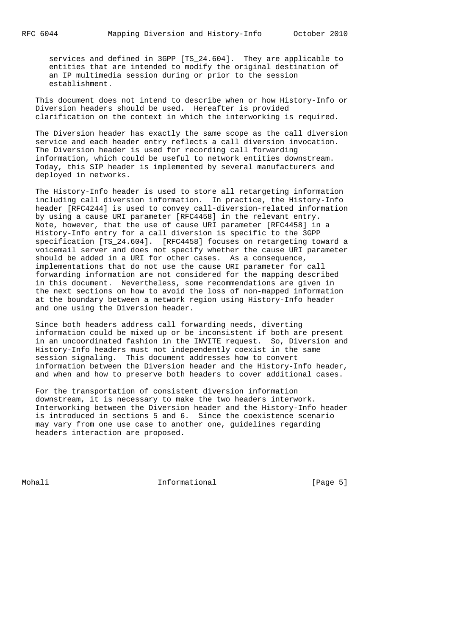services and defined in 3GPP [TS\_24.604]. They are applicable to entities that are intended to modify the original destination of an IP multimedia session during or prior to the session establishment.

 This document does not intend to describe when or how History-Info or Diversion headers should be used. Hereafter is provided clarification on the context in which the interworking is required.

 The Diversion header has exactly the same scope as the call diversion service and each header entry reflects a call diversion invocation. The Diversion header is used for recording call forwarding information, which could be useful to network entities downstream. Today, this SIP header is implemented by several manufacturers and deployed in networks.

 The History-Info header is used to store all retargeting information including call diversion information. In practice, the History-Info header [RFC4244] is used to convey call-diversion-related information by using a cause URI parameter [RFC4458] in the relevant entry. Note, however, that the use of cause URI parameter [RFC4458] in a History-Info entry for a call diversion is specific to the 3GPP specification [TS\_24.604]. [RFC4458] focuses on retargeting toward a voicemail server and does not specify whether the cause URI parameter should be added in a URI for other cases. As a consequence, implementations that do not use the cause URI parameter for call forwarding information are not considered for the mapping described in this document. Nevertheless, some recommendations are given in the next sections on how to avoid the loss of non-mapped information at the boundary between a network region using History-Info header and one using the Diversion header.

 Since both headers address call forwarding needs, diverting information could be mixed up or be inconsistent if both are present in an uncoordinated fashion in the INVITE request. So, Diversion and History-Info headers must not independently coexist in the same session signaling. This document addresses how to convert information between the Diversion header and the History-Info header, and when and how to preserve both headers to cover additional cases.

 For the transportation of consistent diversion information downstream, it is necessary to make the two headers interwork. Interworking between the Diversion header and the History-Info header is introduced in sections 5 and 6. Since the coexistence scenario may vary from one use case to another one, guidelines regarding headers interaction are proposed.

Mohali **Informational Informational Informational** [Page 5]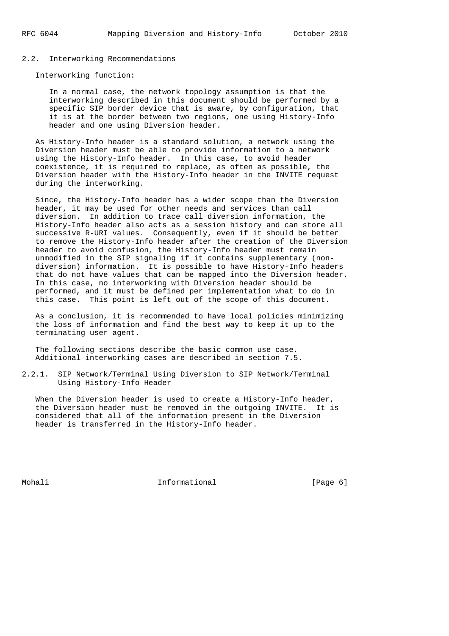### 2.2. Interworking Recommendations

Interworking function:

 In a normal case, the network topology assumption is that the interworking described in this document should be performed by a specific SIP border device that is aware, by configuration, that it is at the border between two regions, one using History-Info header and one using Diversion header.

 As History-Info header is a standard solution, a network using the Diversion header must be able to provide information to a network using the History-Info header. In this case, to avoid header coexistence, it is required to replace, as often as possible, the Diversion header with the History-Info header in the INVITE request during the interworking.

 Since, the History-Info header has a wider scope than the Diversion header, it may be used for other needs and services than call diversion. In addition to trace call diversion information, the History-Info header also acts as a session history and can store all successive R-URI values. Consequently, even if it should be better to remove the History-Info header after the creation of the Diversion header to avoid confusion, the History-Info header must remain unmodified in the SIP signaling if it contains supplementary (non diversion) information. It is possible to have History-Info headers that do not have values that can be mapped into the Diversion header. In this case, no interworking with Diversion header should be performed, and it must be defined per implementation what to do in this case. This point is left out of the scope of this document.

 As a conclusion, it is recommended to have local policies minimizing the loss of information and find the best way to keep it up to the terminating user agent.

 The following sections describe the basic common use case. Additional interworking cases are described in section 7.5.

2.2.1. SIP Network/Terminal Using Diversion to SIP Network/Terminal Using History-Info Header

 When the Diversion header is used to create a History-Info header, the Diversion header must be removed in the outgoing INVITE. It is considered that all of the information present in the Diversion header is transferred in the History-Info header.

Mohali **Informational Informational Informational** [Page 6]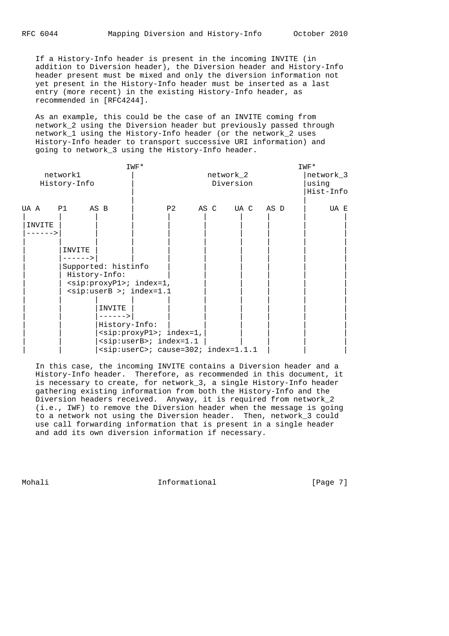If a History-Info header is present in the incoming INVITE (in addition to Diversion header), the Diversion header and History-Info header present must be mixed and only the diversion information not yet present in the History-Info header must be inserted as a last entry (more recent) in the existing History-Info header, as recommended in [RFC4244].

 As an example, this could be the case of an INVITE coming from network\_2 using the Diversion header but previously passed through network\_1 using the History-Info header (or the network\_2 uses History-Info header to transport successive URI information) and going to network\_3 using the History-Info header.

|                                | IWF*                                                                                                                                                                     |                                                                                                                                                      |  |                | IWF* |                                 |  |
|--------------------------------|--------------------------------------------------------------------------------------------------------------------------------------------------------------------------|------------------------------------------------------------------------------------------------------------------------------------------------------|--|----------------|------|---------------------------------|--|
| network1<br>History-Info       |                                                                                                                                                                          | network 2<br>Diversion                                                                                                                               |  |                |      | network 3<br>using<br>Hist-Info |  |
| UAA P1 ASB<br>INVITE<br>INVITE | Supported: histinfo<br>History-Info:<br><sip:proxyp1>; index=1,<br/><math>&lt;</math>sip:userB &gt;; index=1.1<br/>INVITE<br/>------&gt;<br/>History-Info:</sip:proxyp1> | P2<br><sip:proxyp1>; index=1,<br/><math>&lt;</math>sip:userB&gt;; index=1.1<br/><math>&lt;</math>sip:userC&gt;; cause=302; index=1.1.1</sip:proxyp1> |  | AS C UA C AS D |      | UA E                            |  |

 In this case, the incoming INVITE contains a Diversion header and a History-Info header. Therefore, as recommended in this document, it is necessary to create, for network\_3, a single History-Info header gathering existing information from both the History-Info and the Diversion headers received. Anyway, it is required from network\_2 (i.e., IWF) to remove the Diversion header when the message is going to a network not using the Diversion header. Then, network\_3 could use call forwarding information that is present in a single header and add its own diversion information if necessary.

Mohali **Informational Informational** [Page 7]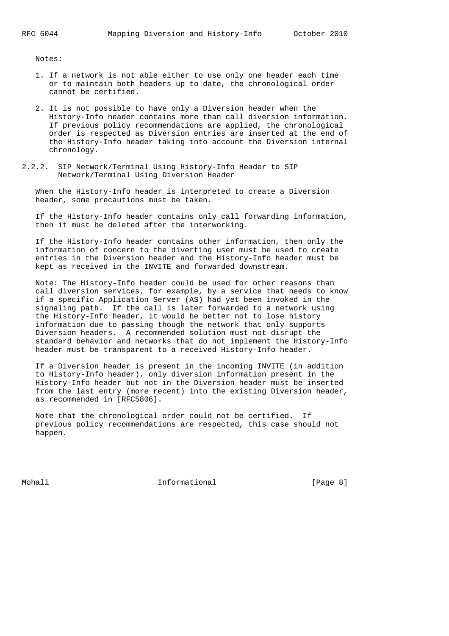Notes:

- 1. If a network is not able either to use only one header each time or to maintain both headers up to date, the chronological order cannot be certified.
- 2. It is not possible to have only a Diversion header when the History-Info header contains more than call diversion information. If previous policy recommendations are applied, the chronological order is respected as Diversion entries are inserted at the end of the History-Info header taking into account the Diversion internal chronology.
- 2.2.2. SIP Network/Terminal Using History-Info Header to SIP Network/Terminal Using Diversion Header

 When the History-Info header is interpreted to create a Diversion header, some precautions must be taken.

 If the History-Info header contains only call forwarding information, then it must be deleted after the interworking.

 If the History-Info header contains other information, then only the information of concern to the diverting user must be used to create entries in the Diversion header and the History-Info header must be kept as received in the INVITE and forwarded downstream.

 Note: The History-Info header could be used for other reasons than call diversion services, for example, by a service that needs to know if a specific Application Server (AS) had yet been invoked in the signaling path. If the call is later forwarded to a network using the History-Info header, it would be better not to lose history information due to passing though the network that only supports Diversion headers. A recommended solution must not disrupt the standard behavior and networks that do not implement the History-Info header must be transparent to a received History-Info header.

 If a Diversion header is present in the incoming INVITE (in addition to History-Info header), only diversion information present in the History-Info header but not in the Diversion header must be inserted from the last entry (more recent) into the existing Diversion header, as recommended in [RFC5806].

 Note that the chronological order could not be certified. If previous policy recommendations are respected, this case should not happen.

Mohali **Informational Informational Informational** [Page 8]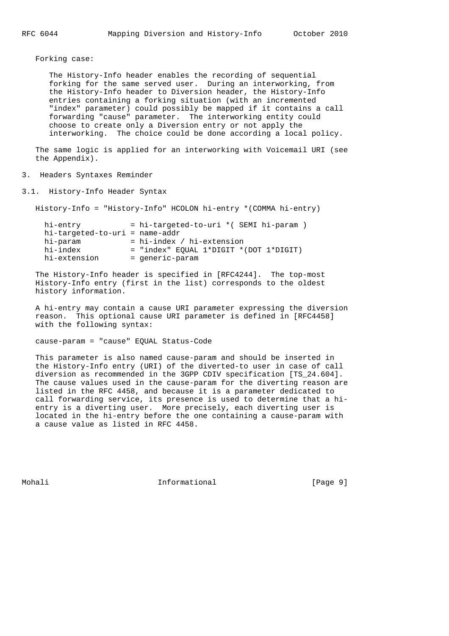Forking case:

 The History-Info header enables the recording of sequential forking for the same served user. During an interworking, from the History-Info header to Diversion header, the History-Info entries containing a forking situation (with an incremented "index" parameter) could possibly be mapped if it contains a call forwarding "cause" parameter. The interworking entity could choose to create only a Diversion entry or not apply the interworking. The choice could be done according a local policy.

 The same logic is applied for an interworking with Voicemail URI (see the Appendix).

3. Headers Syntaxes Reminder

3.1. History-Info Header Syntax

History-Info = "History-Info" HCOLON hi-entry \*(COMMA hi-entry)

| hi-entry                          | = hi-targeted-to-uri *( SEMI hi-param )  |
|-----------------------------------|------------------------------------------|
| $hi$ -targeted-to-uri = name-addr |                                          |
| hi-param                          | $=$ hi-index / hi-extension              |
| hi-index                          | $=$ "index" EQUAL 1*DIGIT *(DOT 1*DIGIT) |
| hi-extension                      | = generic-param                          |

 The History-Info header is specified in [RFC4244]. The top-most History-Info entry (first in the list) corresponds to the oldest history information.

 A hi-entry may contain a cause URI parameter expressing the diversion reason. This optional cause URI parameter is defined in [RFC4458] with the following syntax:

cause-param = "cause" EQUAL Status-Code

 This parameter is also named cause-param and should be inserted in the History-Info entry (URI) of the diverted-to user in case of call diversion as recommended in the 3GPP CDIV specification [TS\_24.604]. The cause values used in the cause-param for the diverting reason are listed in the RFC 4458, and because it is a parameter dedicated to call forwarding service, its presence is used to determine that a hi entry is a diverting user. More precisely, each diverting user is located in the hi-entry before the one containing a cause-param with a cause value as listed in RFC 4458.

Mohali **Informational Informational Informational** [Page 9]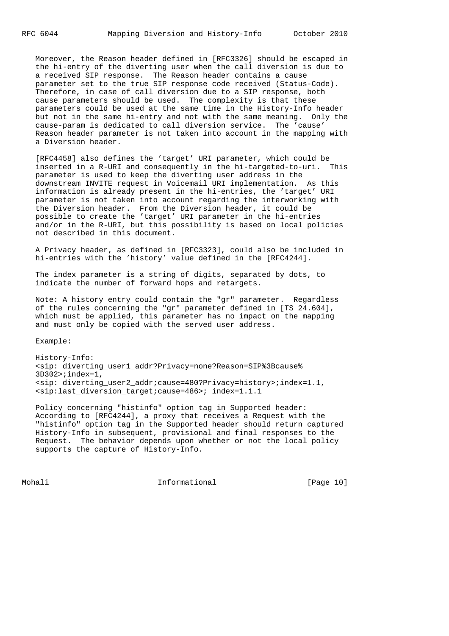Moreover, the Reason header defined in [RFC3326] should be escaped in the hi-entry of the diverting user when the call diversion is due to a received SIP response. The Reason header contains a cause parameter set to the true SIP response code received (Status-Code). Therefore, in case of call diversion due to a SIP response, both cause parameters should be used. The complexity is that these parameters could be used at the same time in the History-Info header but not in the same hi-entry and not with the same meaning. Only the cause-param is dedicated to call diversion service. The 'cause' Reason header parameter is not taken into account in the mapping with a Diversion header.

 [RFC4458] also defines the 'target' URI parameter, which could be inserted in a R-URI and consequently in the hi-targeted-to-uri. This parameter is used to keep the diverting user address in the downstream INVITE request in Voicemail URI implementation. As this information is already present in the hi-entries, the 'target' URI parameter is not taken into account regarding the interworking with the Diversion header. From the Diversion header, it could be possible to create the 'target' URI parameter in the hi-entries and/or in the R-URI, but this possibility is based on local policies not described in this document.

 A Privacy header, as defined in [RFC3323], could also be included in hi-entries with the 'history' value defined in the [RFC4244].

 The index parameter is a string of digits, separated by dots, to indicate the number of forward hops and retargets.

 Note: A history entry could contain the "gr" parameter. Regardless of the rules concerning the "gr" parameter defined in [TS\_24.604], which must be applied, this parameter has no impact on the mapping and must only be copied with the served user address.

Example:

 History-Info: <sip: diverting\_user1\_addr?Privacy=none?Reason=SIP%3Bcause% 3D302>;index=1, <sip: diverting\_user2\_addr;cause=480?Privacy=history>;index=1.1, <sip:last\_diversion\_target;cause=486>; index=1.1.1

 Policy concerning "histinfo" option tag in Supported header: According to [RFC4244], a proxy that receives a Request with the "histinfo" option tag in the Supported header should return captured History-Info in subsequent, provisional and final responses to the Request. The behavior depends upon whether or not the local policy supports the capture of History-Info.

Mohali **Informational Informational** [Page 10]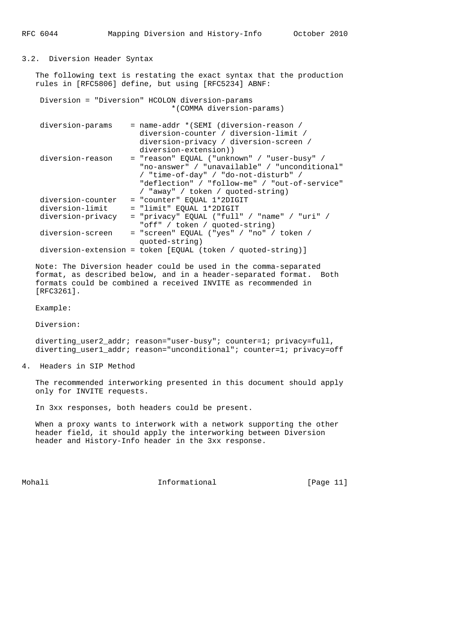### 3.2. Diversion Header Syntax

 The following text is restating the exact syntax that the production rules in [RFC5806] define, but using [RFC5234] ABNF:

| Diversion = "Diversion" HCOLON diversion-params |                                                                                                                                                                                                                            |  |  |  |  |
|-------------------------------------------------|----------------------------------------------------------------------------------------------------------------------------------------------------------------------------------------------------------------------------|--|--|--|--|
|                                                 | *(COMMA diversion-params)                                                                                                                                                                                                  |  |  |  |  |
| diversion-params                                | = name-addr *(SEMI (diversion-reason /<br>diversion-counter / diversion-limit /<br>diversion-privacy / diversion-screen /<br>diversion-extension))                                                                         |  |  |  |  |
| diversion-reason                                | = "reason" EQUAL ("unknown" / "user-busy" /<br>"no-answer" / "unavailable" / "unconditional"<br>/ "time-of-day" / "do-not-disturb" /<br>"deflection" / "follow-me" / "out-of-service"<br>/ "away" / token / quoted-string) |  |  |  |  |
| diversion-counter                               | = "counter" EOUAL 1*2DIGIT                                                                                                                                                                                                 |  |  |  |  |
| diversion-limit                                 | = "limit" EOUAL 1*2DIGIT                                                                                                                                                                                                   |  |  |  |  |
| diversion-privacy                               | $=$ "privacy" EQUAL ("full" / "name" / "uri" /<br>"off" / token / quoted-string)                                                                                                                                           |  |  |  |  |
| diversion-screen                                | = "screen" EQUAL ("yes" / "no" / token /<br>quoted-string)                                                                                                                                                                 |  |  |  |  |
|                                                 | diversion-extension = token [EQUAL (token / quoted-string)]                                                                                                                                                                |  |  |  |  |
|                                                 |                                                                                                                                                                                                                            |  |  |  |  |

 Note: The Diversion header could be used in the comma-separated format, as described below, and in a header-separated format. Both formats could be combined a received INVITE as recommended in [RFC3261].

Example:

Diversion:

 diverting\_user2\_addr; reason="user-busy"; counter=1; privacy=full, diverting\_user1\_addr; reason="unconditional"; counter=1; privacy=off

4. Headers in SIP Method

 The recommended interworking presented in this document should apply only for INVITE requests.

In 3xx responses, both headers could be present.

 When a proxy wants to interwork with a network supporting the other header field, it should apply the interworking between Diversion header and History-Info header in the 3xx response.

Mohali **Informational Informational** [Page 11]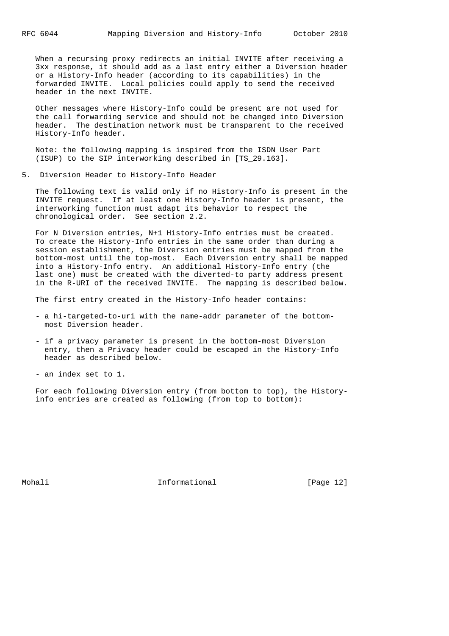When a recursing proxy redirects an initial INVITE after receiving a 3xx response, it should add as a last entry either a Diversion header or a History-Info header (according to its capabilities) in the forwarded INVITE. Local policies could apply to send the received header in the next INVITE.

 Other messages where History-Info could be present are not used for the call forwarding service and should not be changed into Diversion header. The destination network must be transparent to the received History-Info header.

 Note: the following mapping is inspired from the ISDN User Part (ISUP) to the SIP interworking described in [TS\_29.163].

5. Diversion Header to History-Info Header

 The following text is valid only if no History-Info is present in the INVITE request. If at least one History-Info header is present, the interworking function must adapt its behavior to respect the chronological order. See section 2.2.

 For N Diversion entries, N+1 History-Info entries must be created. To create the History-Info entries in the same order than during a session establishment, the Diversion entries must be mapped from the bottom-most until the top-most. Each Diversion entry shall be mapped into a History-Info entry. An additional History-Info entry (the last one) must be created with the diverted-to party address present in the R-URI of the received INVITE. The mapping is described below.

The first entry created in the History-Info header contains:

- a hi-targeted-to-uri with the name-addr parameter of the bottom most Diversion header.
- if a privacy parameter is present in the bottom-most Diversion entry, then a Privacy header could be escaped in the History-Info header as described below.

- an index set to 1.

 For each following Diversion entry (from bottom to top), the History info entries are created as following (from top to bottom):

Mohali Informational [Page 12]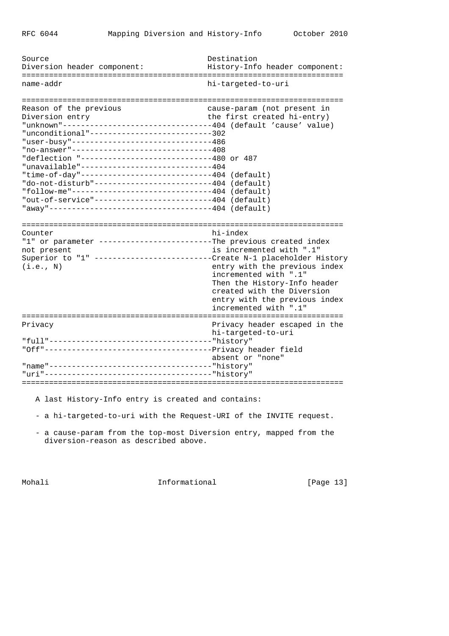| Source<br>Diversion header component:                                                                                                                                                                                                                                                                                                                                                                                                                                                                                                                                                                         | Destination<br>History-Info header component:                                                                                                                                                                          |  |  |  |
|---------------------------------------------------------------------------------------------------------------------------------------------------------------------------------------------------------------------------------------------------------------------------------------------------------------------------------------------------------------------------------------------------------------------------------------------------------------------------------------------------------------------------------------------------------------------------------------------------------------|------------------------------------------------------------------------------------------------------------------------------------------------------------------------------------------------------------------------|--|--|--|
| name-addr                                                                                                                                                                                                                                                                                                                                                                                                                                                                                                                                                                                                     | hi-targeted-to-uri                                                                                                                                                                                                     |  |  |  |
| Reason of the previous<br>Diversion entry<br>"unknown"--------------------------------404 (default 'cause' value)<br>"unconditional"--------------------------302<br>"user-busy"------------------------------486<br>"no-answer"------------------------------408<br>"deflection "---------------------------480 or 487<br>"unavailable"----------------------------404<br>"time-of-day"----------------------------404 (default)<br>"do-not-disturb"-------------------------404 (default)<br>"follow-me"-----------------------------404 (default)<br>"out-of-service"------------------------404 (default) | <br>cause-param (not present in<br>the first created hi-entry)                                                                                                                                                         |  |  |  |
| Counter<br>"1" or parameter ------------------------The previous created index<br>not present<br>Superior to "1" ----------------------------Create N-1 placeholder History<br>(i.e., N)                                                                                                                                                                                                                                                                                                                                                                                                                      | hi-index<br>is incremented with ".1"<br>entry with the previous index<br>incremented with ".1"<br>Then the History-Info header<br>created with the Diversion<br>entry with the previous index<br>incremented with ".1" |  |  |  |
| Privacy                                                                                                                                                                                                                                                                                                                                                                                                                                                                                                                                                                                                       | Privacy header escaped in the<br>hi-targeted-to-uri<br>absent or "none"                                                                                                                                                |  |  |  |

A last History-Info entry is created and contains:

- a hi-targeted-to-uri with the Request-URI of the INVITE request.

 - a cause-param from the top-most Diversion entry, mapped from the diversion-reason as described above.

Mohali **Informational Informational** [Page 13]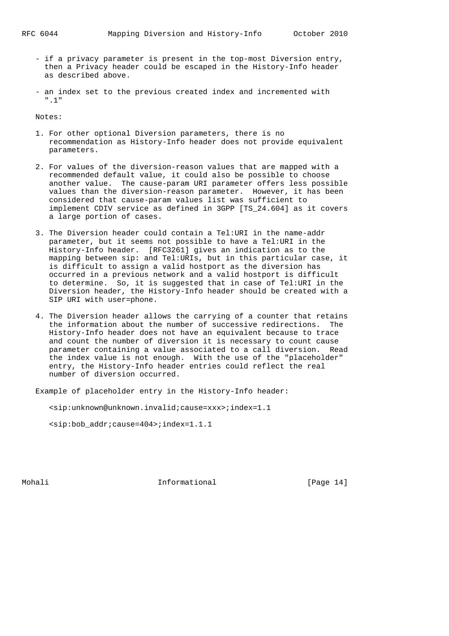- if a privacy parameter is present in the top-most Diversion entry, then a Privacy header could be escaped in the History-Info header as described above.
- an index set to the previous created index and incremented with ".1"

Notes:

- 1. For other optional Diversion parameters, there is no recommendation as History-Info header does not provide equivalent parameters.
- 2. For values of the diversion-reason values that are mapped with a recommended default value, it could also be possible to choose another value. The cause-param URI parameter offers less possible values than the diversion-reason parameter. However, it has been considered that cause-param values list was sufficient to implement CDIV service as defined in 3GPP [TS\_24.604] as it covers a large portion of cases.
- 3. The Diversion header could contain a Tel:URI in the name-addr parameter, but it seems not possible to have a Tel:URI in the History-Info header. [RFC3261] gives an indication as to the mapping between sip: and Tel:URIs, but in this particular case, it is difficult to assign a valid hostport as the diversion has occurred in a previous network and a valid hostport is difficult to determine. So, it is suggested that in case of Tel:URI in the Diversion header, the History-Info header should be created with a SIP URI with user=phone.
- 4. The Diversion header allows the carrying of a counter that retains the information about the number of successive redirections. The History-Info header does not have an equivalent because to trace and count the number of diversion it is necessary to count cause parameter containing a value associated to a call diversion. Read the index value is not enough. With the use of the "placeholder" entry, the History-Info header entries could reflect the real number of diversion occurred.

Example of placeholder entry in the History-Info header:

<sip:unknown@unknown.invalid;cause=xxx>;index=1.1

<sip:bob\_addr;cause=404>;index=1.1.1

Mohali **Informational Informational** [Page 14]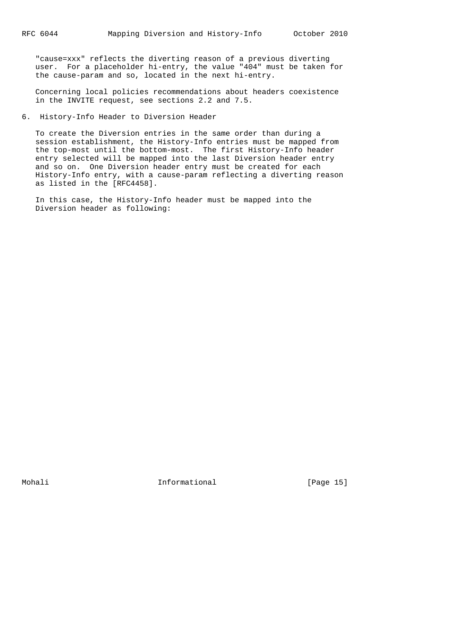"cause=xxx" reflects the diverting reason of a previous diverting user. For a placeholder hi-entry, the value "404" must be taken for the cause-param and so, located in the next hi-entry.

 Concerning local policies recommendations about headers coexistence in the INVITE request, see sections 2.2 and 7.5.

## 6. History-Info Header to Diversion Header

 To create the Diversion entries in the same order than during a session establishment, the History-Info entries must be mapped from the top-most until the bottom-most. The first History-Info header entry selected will be mapped into the last Diversion header entry and so on. One Diversion header entry must be created for each History-Info entry, with a cause-param reflecting a diverting reason as listed in the [RFC4458].

 In this case, the History-Info header must be mapped into the Diversion header as following:

Mohali **Informational Informational** [Page 15]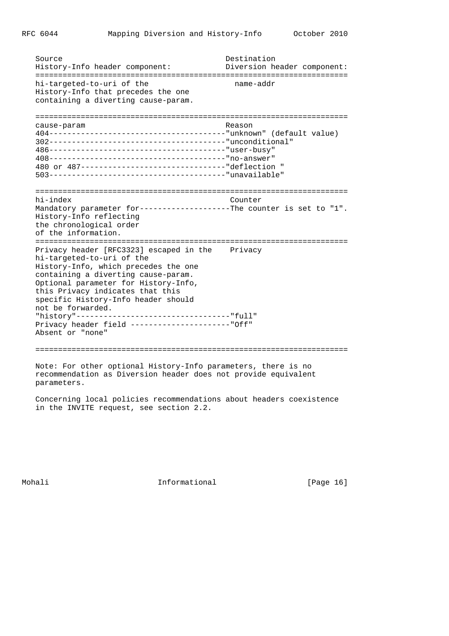Source Destination History-Info header component: Diversion header component: ===================================================================== hi-targeted-to-uri of the name-addr History-Info that precedes the one containing a diverting cause-param. ===================================================================== cause-param Reason 404---------------------------------------"unknown" (default value) 302---------------------------------------"unconditional" 486---------------------------------------"user-busy" 408---------------------------------------"no-answer" 480 or 487--------------------------------"deflection " 503---------------------------------------"unavailable" ===================================================================== hi-index Counter Mandatory parameter for--------------------The counter is set to "1". History-Info reflecting the chronological order of the information. ===================================================================== Privacy header [RFC3323] escaped in the Privacy hi-targeted-to-uri of the History-Info, which precedes the one containing a diverting cause-param. Optional parameter for History-Info, this Privacy indicates that this specific History-Info header should not be forwarded. "history"----------------------------------"full" Privacy header field ----------------------"Off" Absent or "none"

=====================================================================

 Note: For other optional History-Info parameters, there is no recommendation as Diversion header does not provide equivalent parameters.

 Concerning local policies recommendations about headers coexistence in the INVITE request, see section 2.2.

Mohali **Informational Informational** [Page 16]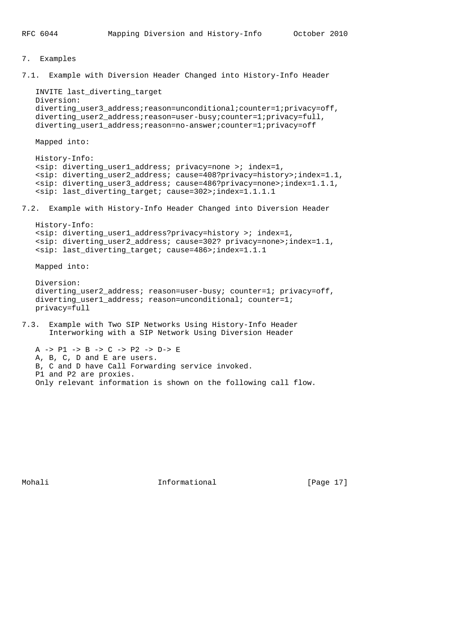# 7. Examples

7.1. Example with Diversion Header Changed into History-Info Header

```
 INVITE last_diverting_target
   Diversion:
   diverting_user3_address;reason=unconditional;counter=1;privacy=off,
   diverting_user2_address;reason=user-busy;counter=1;privacy=full,
  diverting user1 address;reason=no-answer;counter=1;privacy=off
   Mapped into:
   History-Info:
    <sip: diverting_user1_address; privacy=none >; index=1,
    <sip: diverting_user2_address; cause=408?privacy=history>;index=1.1,
    <sip: diverting_user3_address; cause=486?privacy=none>;index=1.1.1,
    <sip: last_diverting_target; cause=302>;index=1.1.1.1
7.2. Example with History-Info Header Changed into Diversion Header
   History-Info:
    <sip: diverting_user1_address?privacy=history >; index=1,
    <sip: diverting_user2_address; cause=302? privacy=none>;index=1.1,
    <sip: last_diverting_target; cause=486>;index=1.1.1
   Mapped into:
   Diversion:
   diverting_user2_address; reason=user-busy; counter=1; privacy=off,
  diverting_user1_address; reason=unconditional; counter=1;
   privacy=full
7.3. Example with Two SIP Networks Using History-Info Header
      Interworking with a SIP Network Using Diversion Header
   A -> P1 -> B -> C -> P2 -> D-> E
   A, B, C, D and E are users.
   B, C and D have Call Forwarding service invoked.
   P1 and P2 are proxies.
```
Mohali **Informational Informational** [Page 17]

Only relevant information is shown on the following call flow.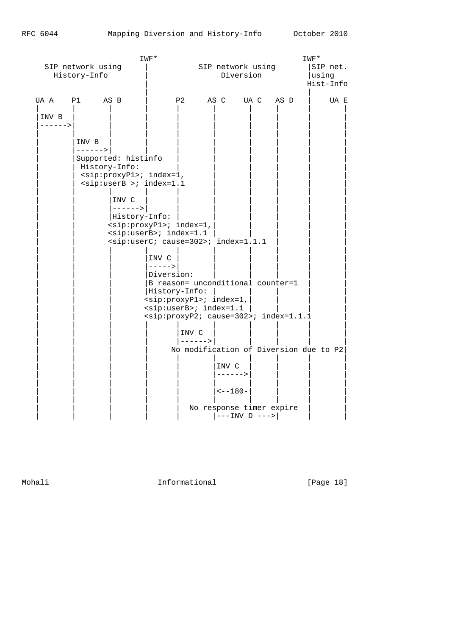| SIP network using<br>History-Info | IWF*                                                                                                                                                                                                                                                                                                      | SIP network using<br>Diversion |                                 |                                                                                                    |                                        | IWF*<br>SIP net.<br>using<br>Hist-Info |
|-----------------------------------|-----------------------------------------------------------------------------------------------------------------------------------------------------------------------------------------------------------------------------------------------------------------------------------------------------------|--------------------------------|---------------------------------|----------------------------------------------------------------------------------------------------|----------------------------------------|----------------------------------------|
| UA A<br>P1 ASB                    |                                                                                                                                                                                                                                                                                                           |                                | P2 ASC                          | UAC AS D                                                                                           |                                        | UA E                                   |
| INV B<br>$-----&>$                |                                                                                                                                                                                                                                                                                                           |                                |                                 |                                                                                                    |                                        |                                        |
| INV B<br>------>                  | Supported: histinfo<br>History-Info:<br><sip:proxyp1>; index=1,<br/><sip:userb>; index=1.1<br/>INV C<br/><math>------&gt;</math><br/>History-Info:<br/><sip:proxyp1>; index=1,<br/><sip:userb>; index=1.1</sip:userb></sip:proxyp1></sip:userb></sip:proxyp1>                                             |                                |                                 |                                                                                                    |                                        |                                        |
|                                   | <sip:userc; cause="302">; index=1.1.1<br/>INV C<br/><math>----&gt;</math><br/>Diversion:<br/>B reason= unconditional counter=1<br/>History-Info:<br/><sip:proxyp1>; index=1,<br/><sip:userb>; index=1.1<br/><sip:proxyp2; cause="302">; index=1.1.1</sip:proxyp2;></sip:userb></sip:proxyp1></sip:userc;> |                                |                                 |                                                                                                    |                                        |                                        |
|                                   |                                                                                                                                                                                                                                                                                                           | INV C<br>$-----&>$             | INV C<br>$------>$<br>$---180-$ | No response timer expire<br>$\left  \begin{array}{cc} - - - I N V & D & - - - \end{array} \right $ | No modification of Diversion due to P2 |                                        |

Mohali **Informational** Informational **Informational** [Page 18]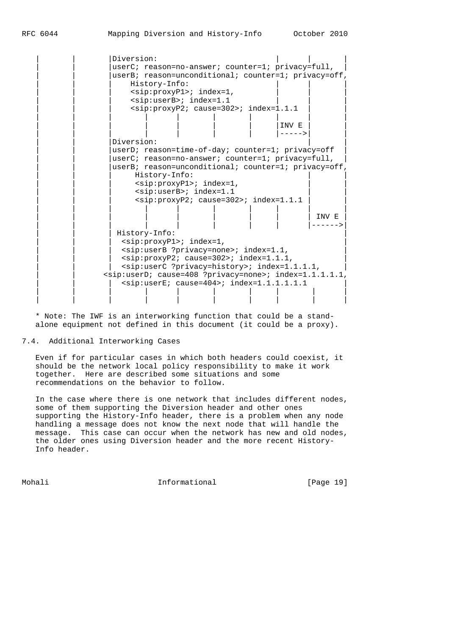| Diversion: userC; reason=no-answer; counter=1; privacy=full, userB; reason=unconditional; counter=1; privacy=off, History-Info: | | | <sip:proxyP1>; index=1, | | | | | | <sip:userB>; index=1.1 | | |  $\langle$ sip:proxyP2; cause=302>; index=1.1.1 | | | | | | | | | | | | | | | | | |INV E | | | | | | | | | |----->| | Diversion: userD; reason=time-of-day; counter=1; privacy=off userC; reason=no-answer; counter=1; privacy=full,  $userB: reason = unconditional: counter=1; privacy=off,$ History-Info: | | | <sip:proxyP1>; index=1, | | | | | <sip:userB>; index=1.1 | |  $<$ sip:proxyP2; cause=302>; index=1.1.1 | | | | | | | | | | | | | | | | | | | INV E | | | | | | | | | |------>| History-Info: | | | <sip:proxyP1>; index=1, | | | | <sip:userB ?privacy=none>; index=1.1, | | | | <sip:proxyP2; cause=302>; index=1.1.1, | | | | <sip:userC ?privacy=history>; index=1.1.1.1, | | | <sip:userD; cause=408 ?privacy=none>; index=1.1.1.1.1,  $\langle$ sip:userE; cause=404>; index=1.1.1.1.1.1 | | | | | | | | | | | | | | | | | | | |

 \* Note: The IWF is an interworking function that could be a stand alone equipment not defined in this document (it could be a proxy).

### 7.4. Additional Interworking Cases

 Even if for particular cases in which both headers could coexist, it should be the network local policy responsibility to make it work together. Here are described some situations and some recommendations on the behavior to follow.

 In the case where there is one network that includes different nodes, some of them supporting the Diversion header and other ones supporting the History-Info header, there is a problem when any node handling a message does not know the next node that will handle the message. This case can occur when the network has new and old nodes, the older ones using Diversion header and the more recent History- Info header.

Mohali Informational [Page 19]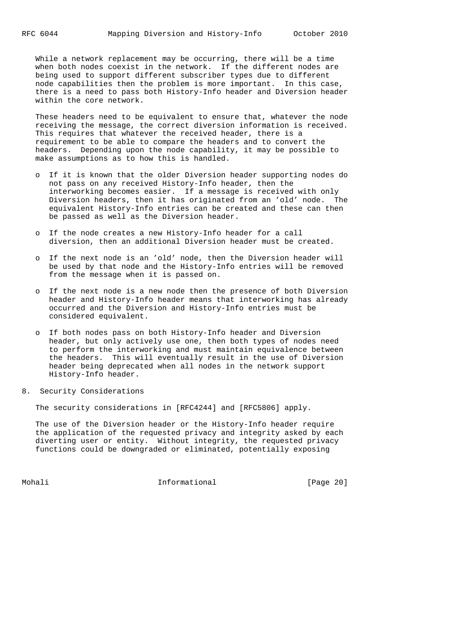While a network replacement may be occurring, there will be a time when both nodes coexist in the network. If the different nodes are being used to support different subscriber types due to different node capabilities then the problem is more important. In this case, there is a need to pass both History-Info header and Diversion header within the core network.

 These headers need to be equivalent to ensure that, whatever the node receiving the message, the correct diversion information is received. This requires that whatever the received header, there is a requirement to be able to compare the headers and to convert the headers. Depending upon the node capability, it may be possible to make assumptions as to how this is handled.

- o If it is known that the older Diversion header supporting nodes do not pass on any received History-Info header, then the interworking becomes easier. If a message is received with only Diversion headers, then it has originated from an 'old' node. The equivalent History-Info entries can be created and these can then be passed as well as the Diversion header.
- o If the node creates a new History-Info header for a call diversion, then an additional Diversion header must be created.
- o If the next node is an 'old' node, then the Diversion header will be used by that node and the History-Info entries will be removed from the message when it is passed on.
- o If the next node is a new node then the presence of both Diversion header and History-Info header means that interworking has already occurred and the Diversion and History-Info entries must be considered equivalent.
- o If both nodes pass on both History-Info header and Diversion header, but only actively use one, then both types of nodes need to perform the interworking and must maintain equivalence between the headers. This will eventually result in the use of Diversion header being deprecated when all nodes in the network support History-Info header.
- 8. Security Considerations

The security considerations in [RFC4244] and [RFC5806] apply.

 The use of the Diversion header or the History-Info header require the application of the requested privacy and integrity asked by each diverting user or entity. Without integrity, the requested privacy functions could be downgraded or eliminated, potentially exposing

Mohali Informational [Page 20]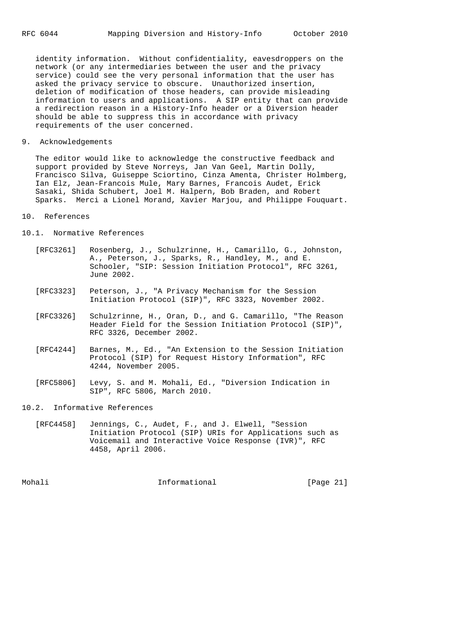identity information. Without confidentiality, eavesdroppers on the network (or any intermediaries between the user and the privacy service) could see the very personal information that the user has asked the privacy service to obscure. Unauthorized insertion, deletion of modification of those headers, can provide misleading information to users and applications. A SIP entity that can provide a redirection reason in a History-Info header or a Diversion header should be able to suppress this in accordance with privacy requirements of the user concerned.

9. Acknowledgements

 The editor would like to acknowledge the constructive feedback and support provided by Steve Norreys, Jan Van Geel, Martin Dolly, Francisco Silva, Guiseppe Sciortino, Cinza Amenta, Christer Holmberg, Ian Elz, Jean-Francois Mule, Mary Barnes, Francois Audet, Erick Sasaki, Shida Schubert, Joel M. Halpern, Bob Braden, and Robert Sparks. Merci a Lionel Morand, Xavier Marjou, and Philippe Fouquart.

### 10. References

#### 10.1. Normative References

- [RFC3261] Rosenberg, J., Schulzrinne, H., Camarillo, G., Johnston, A., Peterson, J., Sparks, R., Handley, M., and E. Schooler, "SIP: Session Initiation Protocol", RFC 3261, June 2002.
- [RFC3323] Peterson, J., "A Privacy Mechanism for the Session Initiation Protocol (SIP)", RFC 3323, November 2002.
- [RFC3326] Schulzrinne, H., Oran, D., and G. Camarillo, "The Reason Header Field for the Session Initiation Protocol (SIP)", RFC 3326, December 2002.
- [RFC4244] Barnes, M., Ed., "An Extension to the Session Initiation Protocol (SIP) for Request History Information", RFC 4244, November 2005.
- [RFC5806] Levy, S. and M. Mohali, Ed., "Diversion Indication in SIP", RFC 5806, March 2010.
- 10.2. Informative References
	- [RFC4458] Jennings, C., Audet, F., and J. Elwell, "Session Initiation Protocol (SIP) URIs for Applications such as Voicemail and Interactive Voice Response (IVR)", RFC 4458, April 2006.

Mohali **Informational Informational** [Page 21]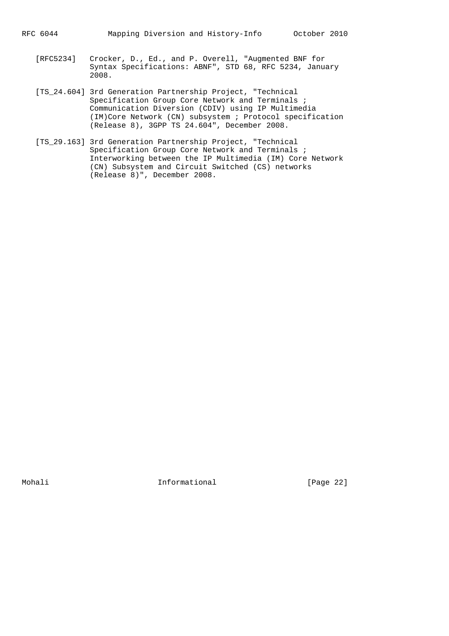- [RFC5234] Crocker, D., Ed., and P. Overell, "Augmented BNF for Syntax Specifications: ABNF", STD 68, RFC 5234, January 2008.
- [TS\_24.604] 3rd Generation Partnership Project, "Technical Specification Group Core Network and Terminals ; Communication Diversion (CDIV) using IP Multimedia (IM)Core Network (CN) subsystem ; Protocol specification (Release 8), 3GPP TS 24.604", December 2008.
- [TS\_29.163] 3rd Generation Partnership Project, "Technical Specification Group Core Network and Terminals ; Interworking between the IP Multimedia (IM) Core Network (CN) Subsystem and Circuit Switched (CS) networks (Release 8)", December 2008.

Mohali **Informational Informational** [Page 22]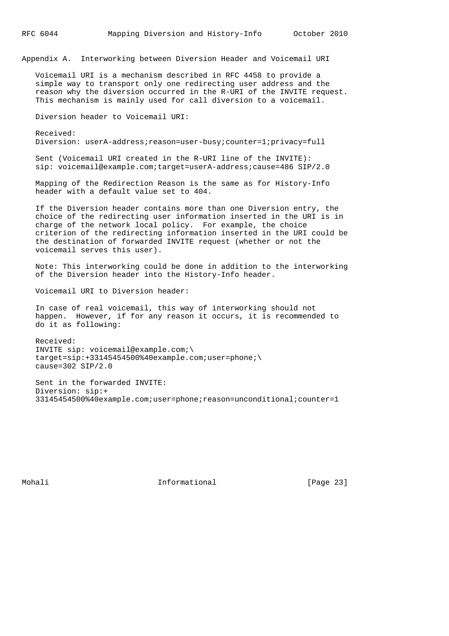Appendix A. Interworking between Diversion Header and Voicemail URI

 Voicemail URI is a mechanism described in RFC 4458 to provide a simple way to transport only one redirecting user address and the reason why the diversion occurred in the R-URI of the INVITE request. This mechanism is mainly used for call diversion to a voicemail.

Diversion header to Voicemail URI:

 Received: Diversion: userA-address;reason=user-busy;counter=1;privacy=full

 Sent (Voicemail URI created in the R-URI line of the INVITE): sip: voicemail@example.com;target=userA-address;cause=486 SIP/2.0

 Mapping of the Redirection Reason is the same as for History-Info header with a default value set to 404.

 If the Diversion header contains more than one Diversion entry, the choice of the redirecting user information inserted in the URI is in charge of the network local policy. For example, the choice criterion of the redirecting information inserted in the URI could be the destination of forwarded INVITE request (whether or not the voicemail serves this user).

 Note: This interworking could be done in addition to the interworking of the Diversion header into the History-Info header.

Voicemail URI to Diversion header:

 In case of real voicemail, this way of interworking should not happen. However, if for any reason it occurs, it is recommended to do it as following:

 Received: INVITE sip: voicemail@example.com;\ target=sip:+33145454500%40example.com;user=phone;\ cause=302 SIP/2.0

 Sent in the forwarded INVITE: Diversion: sip:+ 33145454500%40example.com;user=phone;reason=unconditional;counter=1

Mohali **Informational Informational** [Page 23]